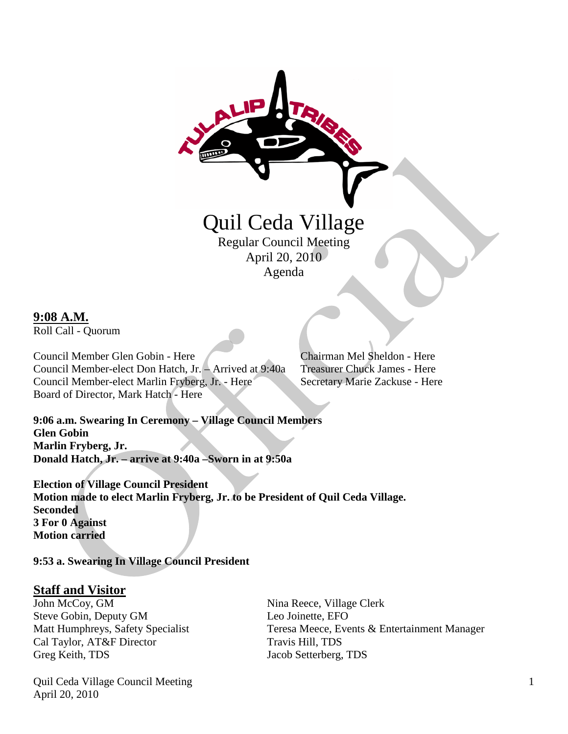

Agenda

#### **9:08 A.M.**

Roll Call - Quorum

Council Member Glen Gobin - Here Chairman Mel Sheldon - Here Council Member-elect Don Hatch, Jr. – Arrived at 9:40a Treasurer Chuck James - Here Council Member-elect Marlin Fryberg, Jr. - Here Secretary Marie Zackuse - Here Board of Director, Mark Hatch - Here

**9:06 a.m. Swearing In Ceremony – Village Council Members Glen Gobin Marlin Fryberg, Jr. Donald Hatch, Jr. – arrive at 9:40a –Sworn in at 9:50a**

**Election of Village Council President Motion made to elect Marlin Fryberg, Jr. to be President of Quil Ceda Village. Seconded 3 For 0 Against Motion carried**

**9:53 a. Swearing In Village Council President**

# **<u>Staff and Visitor</u>**<br>John McCoy, GM

Steve Gobin, Deputy GM Leo Joinette, EFO Cal Taylor, AT&F Director Travis Hill, TDS Greg Keith, TDS Jacob Setterberg, TDS

Nina Reece, Village Clerk Matt Humphreys, Safety Specialist Teresa Meece, Events & Entertainment Manager

Quil Ceda Village Council Meeting April 20, 2010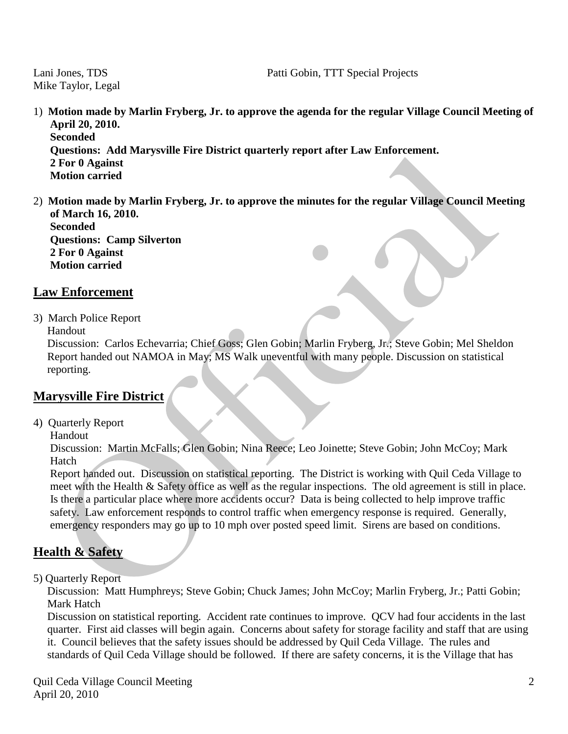Mike Taylor, Legal

- 1) **Motion made by Marlin Fryberg, Jr. to approve the agenda for the regular Village Council Meeting of April 20, 2010. Seconded Questions: Add Marysville Fire District quarterly report after Law Enforcement. 2 For 0 Against Motion carried**
- 2) **Motion made by Marlin Fryberg, Jr. to approve the minutes for the regular Village Council Meeting of March 16, 2010. Seconded Questions: Camp Silverton 2 For 0 Against Motion carried**

#### **Law Enforcement**

3) March Police Report

Handout

 Discussion: Carlos Echevarria; Chief Goss; Glen Gobin; Marlin Fryberg, Jr.; Steve Gobin; Mel Sheldon Report handed out NAMOA in May; MS Walk uneventful with many people. Discussion on statistical reporting.

### **Marysville Fire District**

4) Quarterly Report

Handout

 Discussion: Martin McFalls; Glen Gobin; Nina Reece; Leo Joinette; Steve Gobin; John McCoy; Mark Hatch

 Report handed out. Discussion on statistical reporting. The District is working with Quil Ceda Village to meet with the Health & Safety office as well as the regular inspections. The old agreement is still in place. Is there a particular place where more accidents occur? Data is being collected to help improve traffic safety. Law enforcement responds to control traffic when emergency response is required. Generally, emergency responders may go up to 10 mph over posted speed limit. Sirens are based on conditions.

## **Health & Safety**

5) Quarterly Report

 Discussion: Matt Humphreys; Steve Gobin; Chuck James; John McCoy; Marlin Fryberg, Jr.; Patti Gobin; Mark Hatch

 Discussion on statistical reporting. Accident rate continues to improve. QCV had four accidents in the last quarter. First aid classes will begin again. Concerns about safety for storage facility and staff that are using it. Council believes that the safety issues should be addressed by Quil Ceda Village. The rules and standards of Quil Ceda Village should be followed. If there are safety concerns, it is the Village that has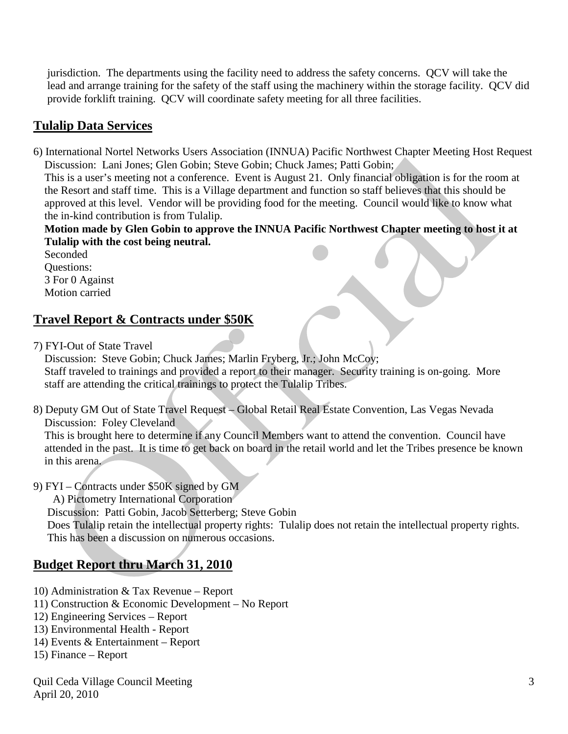jurisdiction. The departments using the facility need to address the safety concerns. QCV will take the lead and arrange training for the safety of the staff using the machinery within the storage facility. QCV did provide forklift training. QCV will coordinate safety meeting for all three facilities.

## **Tulalip Data Services**

6) International Nortel Networks Users Association (INNUA) Pacific Northwest Chapter Meeting Host Request Discussion: Lani Jones; Glen Gobin; Steve Gobin; Chuck James; Patti Gobin;

 This is a user's meeting not a conference. Event is August 21. Only financial obligation is for the room at the Resort and staff time. This is a Village department and function so staff believes that this should be approved at this level. Vendor will be providing food for the meeting. Council would like to know what the in-kind contribution is from Tulalip.

 **Motion made by Glen Gobin to approve the INNUA Pacific Northwest Chapter meeting to host it at Tulalip with the cost being neutral.** 

 Seconded Questions: 3 For 0 Against Motion carried

## **Travel Report & Contracts under \$50K**

7) FYI-Out of State Travel

 Discussion: Steve Gobin; Chuck James; Marlin Fryberg, Jr.; John McCoy; Staff traveled to trainings and provided a report to their manager. Security training is on-going. More staff are attending the critical trainings to protect the Tulalip Tribes.

8) Deputy GM Out of State Travel Request – Global Retail Real Estate Convention, Las Vegas Nevada Discussion: Foley Cleveland

 This is brought here to determine if any Council Members want to attend the convention. Council have attended in the past. It is time to get back on board in the retail world and let the Tribes presence be known in this arena.

9) FYI – Contracts under \$50K signed by GM

A) Pictometry International Corporation

Discussion: Patti Gobin, Jacob Setterberg; Steve Gobin

Does Tulalip retain the intellectual property rights: Tulalip does not retain the intellectual property rights. This has been a discussion on numerous occasions.

## **Budget Report thru March 31, 2010**

- 10) Administration & Tax Revenue Report
- 11) Construction & Economic Development No Report
- 12) Engineering Services Report
- 13) Environmental Health Report
- 14) Events & Entertainment Report
- 15) Finance Report

Quil Ceda Village Council Meeting April 20, 2010